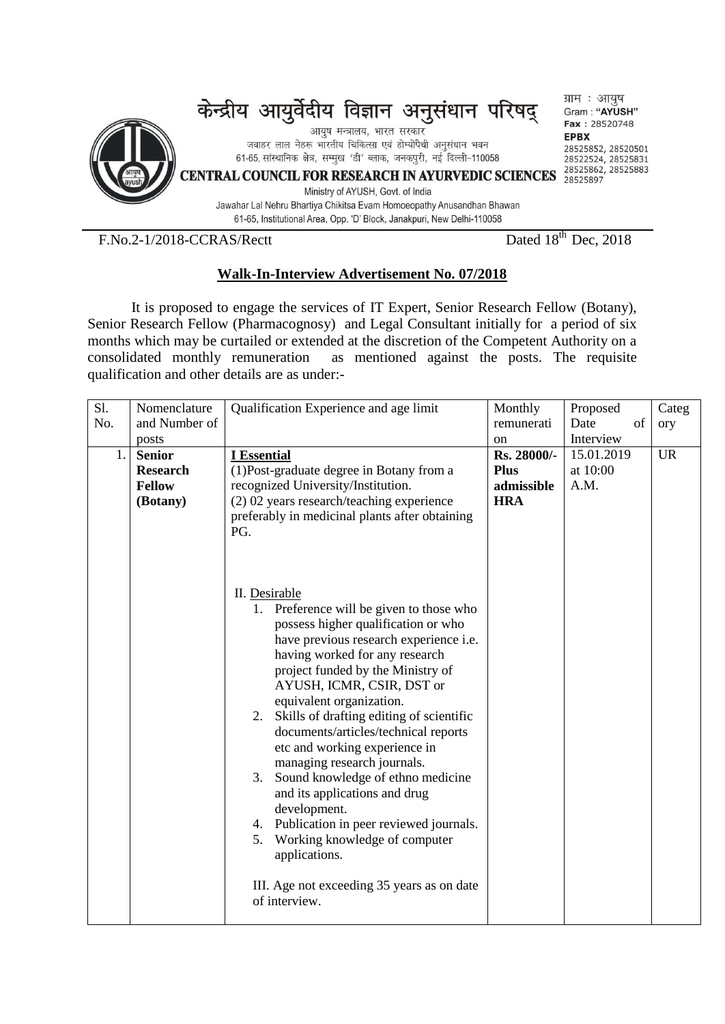

 $F.No.2-1/2018-CCRAS/Rectt$ 

Dated  $18^{th}$  Dec, 2018

## **Walk-In-Interview Advertisement No. 07/2018**

 It is proposed to engage the services of IT Expert, Senior Research Fellow (Botany), Senior Research Fellow (Pharmacognosy) and Legal Consultant initially for a period of six months which may be curtailed or extended at the discretion of the Competent Authority on a consolidated monthly remuneration as mentioned against the posts. The requisite qualification and other details are as under:-

| Sl. | Nomenclature    | Qualification Experience and age limit                                                                                                                                                                                                                                                                                                                                                                                                                                                                                                                                                                                                                                                         | Monthly     | Proposed   | Categ     |
|-----|-----------------|------------------------------------------------------------------------------------------------------------------------------------------------------------------------------------------------------------------------------------------------------------------------------------------------------------------------------------------------------------------------------------------------------------------------------------------------------------------------------------------------------------------------------------------------------------------------------------------------------------------------------------------------------------------------------------------------|-------------|------------|-----------|
| No. | and Number of   |                                                                                                                                                                                                                                                                                                                                                                                                                                                                                                                                                                                                                                                                                                | remunerati  | Date<br>of | ory       |
|     | posts           |                                                                                                                                                                                                                                                                                                                                                                                                                                                                                                                                                                                                                                                                                                | on          | Interview  |           |
| 1.  | <b>Senior</b>   | <b>I</b> Essential                                                                                                                                                                                                                                                                                                                                                                                                                                                                                                                                                                                                                                                                             | Rs. 28000/- | 15.01.2019 | <b>UR</b> |
|     | <b>Research</b> | (1) Post-graduate degree in Botany from a                                                                                                                                                                                                                                                                                                                                                                                                                                                                                                                                                                                                                                                      | <b>Plus</b> | at 10:00   |           |
|     | <b>Fellow</b>   | recognized University/Institution.                                                                                                                                                                                                                                                                                                                                                                                                                                                                                                                                                                                                                                                             | admissible  | A.M.       |           |
|     | (Botany)        | (2) 02 years research/teaching experience                                                                                                                                                                                                                                                                                                                                                                                                                                                                                                                                                                                                                                                      | <b>HRA</b>  |            |           |
|     |                 | preferably in medicinal plants after obtaining                                                                                                                                                                                                                                                                                                                                                                                                                                                                                                                                                                                                                                                 |             |            |           |
|     |                 | PG.                                                                                                                                                                                                                                                                                                                                                                                                                                                                                                                                                                                                                                                                                            |             |            |           |
|     |                 | II. Desirable<br>1. Preference will be given to those who<br>possess higher qualification or who<br>have previous research experience i.e.<br>having worked for any research<br>project funded by the Ministry of<br>AYUSH, ICMR, CSIR, DST or<br>equivalent organization.<br>Skills of drafting editing of scientific<br>2.<br>documents/articles/technical reports<br>etc and working experience in<br>managing research journals.<br>3. Sound knowledge of ethno medicine<br>and its applications and drug<br>development.<br>4. Publication in peer reviewed journals.<br>5. Working knowledge of computer<br>applications.<br>III. Age not exceeding 35 years as on date<br>of interview. |             |            |           |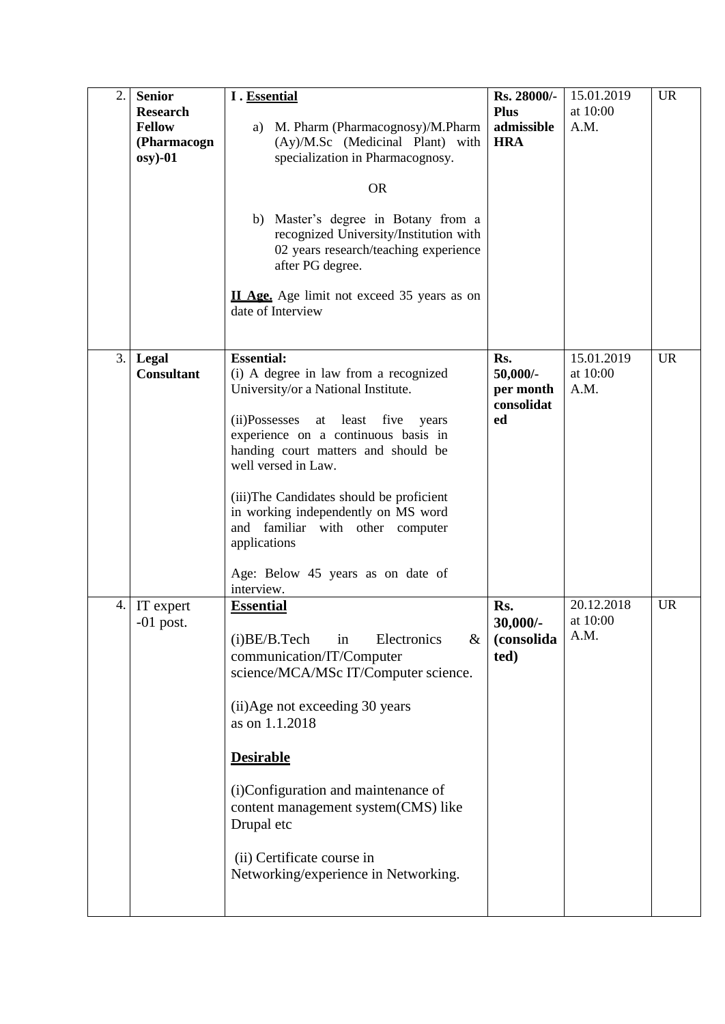| 2. | <b>Senior</b><br><b>Research</b><br><b>Fellow</b><br>(Pharmacogn<br>$osy) -01$ | I. Essential<br>M. Pharm (Pharmacognosy)/M.Pharm<br>a)<br>(Ay)/M.Sc (Medicinal Plant) with<br>specialization in Pharmacognosy.<br><b>OR</b><br>b) Master's degree in Botany from a<br>recognized University/Institution with<br>02 years research/teaching experience<br>after PG degree.<br><b>II Age.</b> Age limit not exceed 35 years as on<br>date of Interview                                                                              | Rs. 28000/-<br><b>Plus</b><br>admissible<br><b>HRA</b> | 15.01.2019<br>at 10:00<br>A.M. | <b>UR</b> |
|----|--------------------------------------------------------------------------------|---------------------------------------------------------------------------------------------------------------------------------------------------------------------------------------------------------------------------------------------------------------------------------------------------------------------------------------------------------------------------------------------------------------------------------------------------|--------------------------------------------------------|--------------------------------|-----------|
| 3. | Legal<br><b>Consultant</b>                                                     | <b>Essential:</b><br>(i) A degree in law from a recognized<br>University/or a National Institute.<br>(ii)Possesses<br>five<br>least<br>at<br>years<br>experience on a continuous basis in<br>handing court matters and should be<br>well versed in Law.<br>(iii)The Candidates should be proficient<br>in working independently on MS word<br>and familiar with other computer<br>applications<br>Age: Below 45 years as on date of<br>interview. | Rs.<br>$50,000/$ -<br>per month<br>consolidat<br>ed    | 15.01.2019<br>at 10:00<br>A.M. | <b>UR</b> |
| 4. | IT expert<br>$-01$ post.                                                       | <b>Essential</b><br>(i)BE/B.Tech<br>Electronics<br>$\&$<br>in<br>communication/IT/Computer<br>science/MCA/MSc IT/Computer science.<br>(ii)Age not exceeding 30 years<br>as on 1.1.2018<br><b>Desirable</b><br>(i)Configuration and maintenance of<br>content management system (CMS) like<br>Drupal etc<br>(ii) Certificate course in<br>Networking/experience in Networking.                                                                     | Rs.<br>$30.000/-$<br>(consolida<br>ted)                | 20.12.2018<br>at 10:00<br>A.M. | <b>UR</b> |